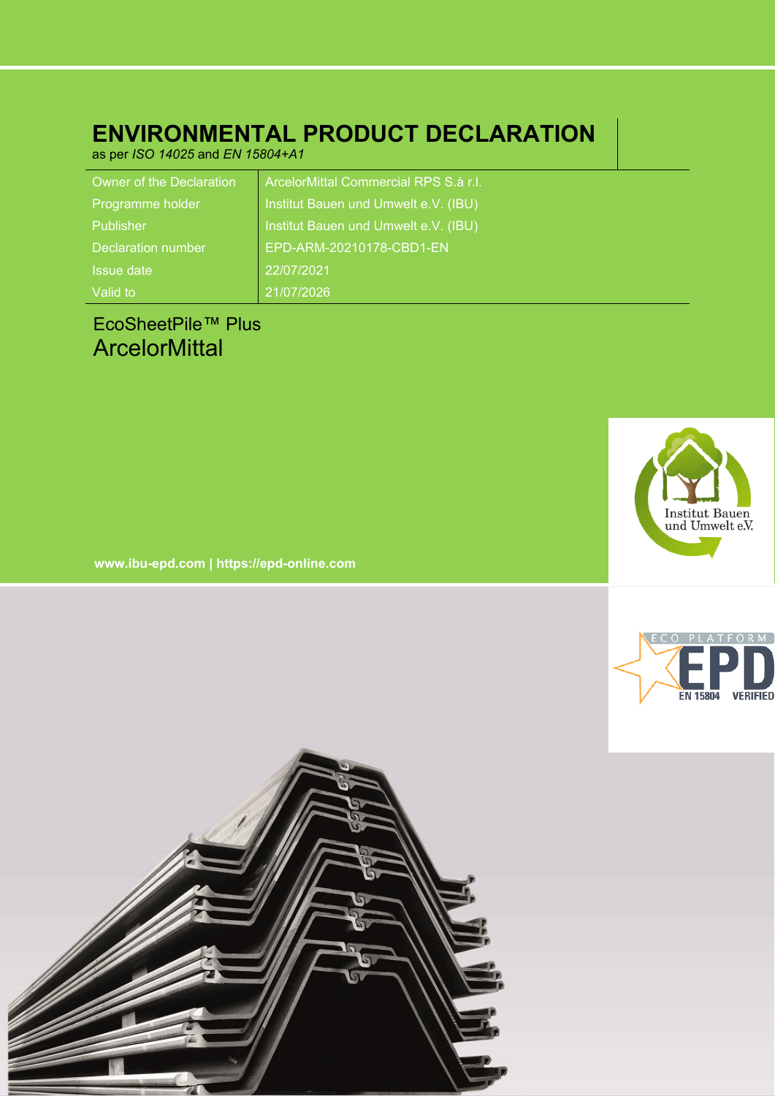# **ENVIRONMENTAL PRODUCT DECLARATION**

as per *ISO 14025* and *EN 15804+A1*

| Owner of the Declaration | ArcelorMittal Commercial RPS S.à r.l. |
|--------------------------|---------------------------------------|
| Programme holder         | Institut Bauen und Umwelt e.V. (IBU)  |
| Publisher                | Institut Bauen und Umwelt e.V. (IBU)  |
| Declaration number       | EPD-ARM-20210178-CBD1-EN              |
| <b>Issue date</b>        | 22/07/2021                            |
| Valid to                 | 21/07/2026                            |

# EcoSheetPile™ Plus **ArcelorMittal**



**www.ibu-epd.com | https://epd-online.com**



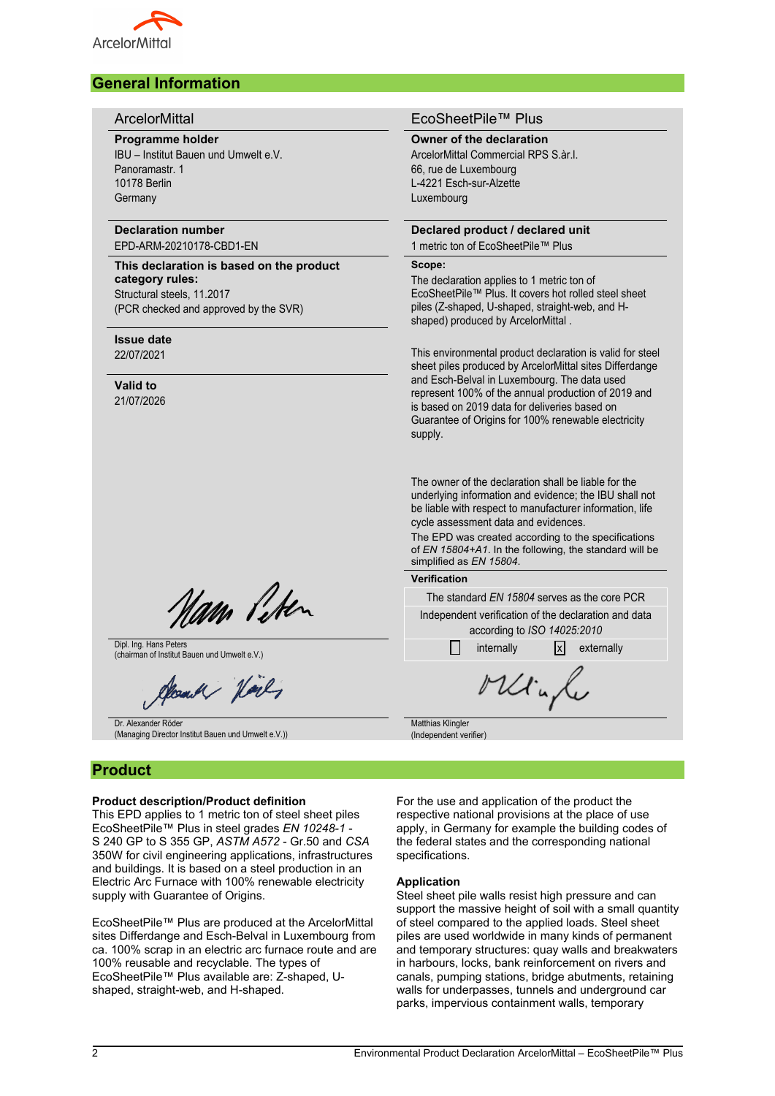

## **General Information**

#### **Programme holder**

IBU – Institut Bauen und Umwelt e.V. Panoramastr. 1 10178 Berlin **Germany** 

## **Declaration number**

EPD-ARM-20210178-CBD1-EN

**This declaration is based on the product category rules:** Structural steels, 11.2017 (PCR checked and approved by the SVR)

#### **Issue date**

22/07/2021

## **Valid to**

21/07/2026

Nam Piten

Dipl. Ing. Hans Peters Dipl. Ing. Hans Peters<br>  $\Box$  internally  $\Box$  internally  $\Box$  externally externally externally

Donald Harly

Dr. Alexander Röder (Managing Director Institut Bauen und Umwelt e.V.))

## **Product**

#### **Product description/Product definition**

This EPD applies to 1 metric ton of steel sheet piles EcoSheetPile™ Plus in steel grades *EN 10248-1* - S 240 GP to S 355 GP, *ASTM A572* - Gr.50 and *CSA* 350W for civil engineering applications, infrastructures and buildings. It is based on a steel production in an Electric Arc Furnace with 100% renewable electricity supply with Guarantee of Origins.

EcoSheetPile™ Plus are produced at the ArcelorMittal sites Differdange and Esch-Belval in Luxembourg from ca. 100% scrap in an electric arc furnace route and are 100% reusable and recyclable. The types of EcoSheetPile™ Plus available are: Z-shaped, Ushaped, straight-web, and H-shaped.

#### ArcelorMittal EcoSheetPile™ Plus

#### **Owner of the declaration**

ArcelorMittal Commercial RPS S àr.L. 66, rue de Luxembourg L-4221 Esch-sur-Alzette Luxembourg

## **Declared product / declared unit**

1 metric ton of EcoSheetPile™ Plus **Scope:**

The declaration applies to 1 metric ton of EcoSheetPile™ Plus. It covers hot rolled steel sheet piles (Z-shaped, U-shaped, straight-web, and Hshaped) produced by ArcelorMittal .

This environmental product declaration is valid for steel sheet piles produced by ArcelorMittal sites Differdange and Esch-Belval in Luxembourg. The data used represent 100% of the annual production of 2019 and is based on 2019 data for deliveries based on Guarantee of Origins for 100% renewable electricity supply.

The owner of the declaration shall be liable for the underlying information and evidence; the IBU shall not be liable with respect to manufacturer information, life cycle assessment data and evidences.

The EPD was created according to the specifications of *EN 15804+A1*. In the following, the standard will be simplified as *EN 15804*.

#### **Verification**

The standard *EN 15804* serves as the core PCR Independent verification of the declaration and data

according to *ISO 14025:2010*

Minh **Matthias Klingler** (Independent verifier)

For the use and application of the product the respective national provisions at the place of use apply, in Germany for example the building codes of the federal states and the corresponding national specifications.

#### **Application**

Steel sheet pile walls resist high pressure and can support the massive height of soil with a small quantity of steel compared to the applied loads. Steel sheet piles are used worldwide in many kinds of permanent and temporary structures: quay walls and breakwaters in harbours, locks, bank reinforcement on rivers and canals, pumping stations, bridge abutments, retaining walls for underpasses, tunnels and underground car parks, impervious containment walls, temporary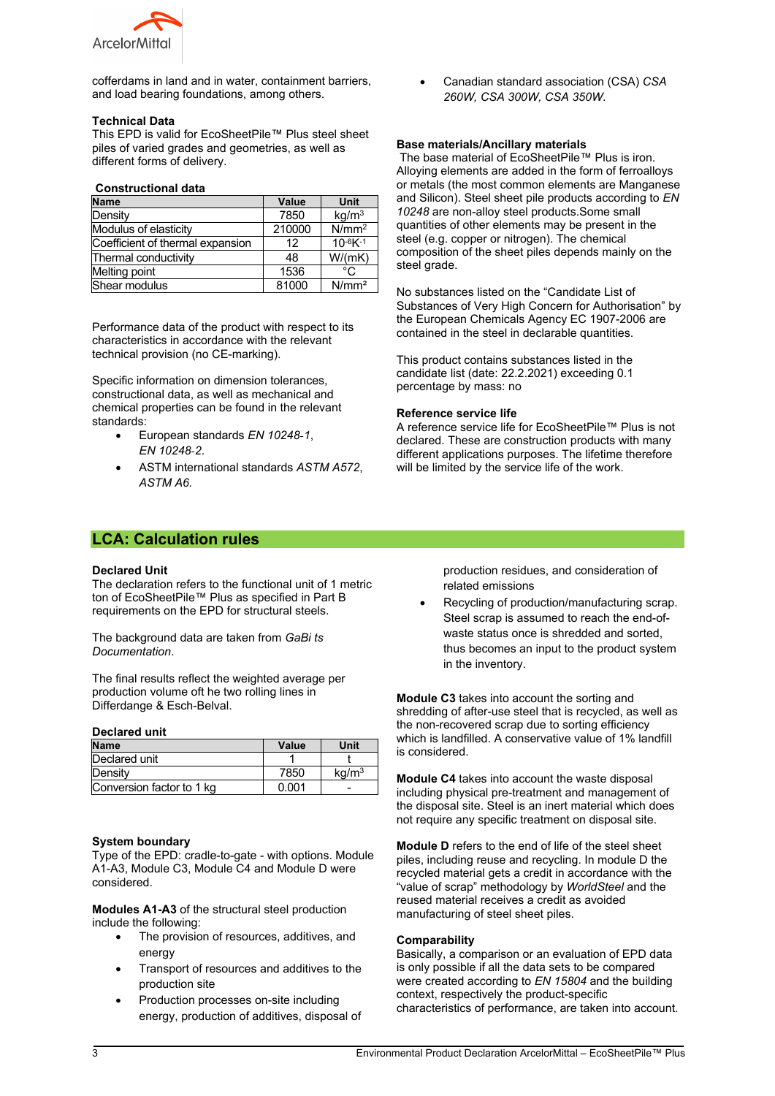

cofferdams in land and in water, containment barriers, and load bearing foundations, among others.

#### **Technical Data**

This EPD is valid for EcoSheetPile™ Plus steel sheet piles of varied grades and geometries, as well as different forms of delivery.

#### **Constructional data**

| <b>Name</b>                      | Value  | Unit              |
|----------------------------------|--------|-------------------|
| Density                          | 7850   | kg/m <sup>3</sup> |
| Modulus of elasticity            | 210000 | N/mm <sup>2</sup> |
| Coefficient of thermal expansion | 12     | $10^{-6}K^{-1}$   |
| Thermal conductivity             | 48     | W/(mK)            |
| Melting point                    | 1536   | °C                |
| Shear modulus                    | 81000  | N/mm <sup>2</sup> |

Performance data of the product with respect to its characteristics in accordance with the relevant technical provision (no CE-marking).

Specific information on dimension tolerances, constructional data, as well as mechanical and chemical properties can be found in the relevant standards:

- European standards *EN 10248‑1*, *EN 10248‑2*.
- ASTM international standards *ASTM A572*, *ASTM A6.*

### **LCA: Calculation rules**

#### **Declared Unit**

The declaration refers to the functional unit of 1 metric ton of EcoSheetPile™ Plus as specified in Part B requirements on the EPD for structural steels.

The background data are taken from *GaBi ts Documentation*.

The final results reflect the weighted average per production volume oft he two rolling lines in Differdange & Esch-Belval.

#### **Declared unit**

| <b>Name</b>               | Value | Unit              |
|---------------------------|-------|-------------------|
| Declared unit             |       |                   |
| Density                   | 7850  | kg/m <sup>3</sup> |
| Conversion factor to 1 kg | 0.001 |                   |

#### **System boundary**

Type of the EPD: cradle-to-gate - with options. Module A1-A3, Module C3, Module C4 and Module D were considered.

**Modules A1-A3** of the structural steel production include the following:

- The provision of resources, additives, and energy
- Transport of resources and additives to the production site
- Production processes on-site including energy, production of additives, disposal of

 Canadian standard association (CSA) *CSA 260W, CSA 300W, CSA 350W*.

#### **Base materials/Ancillary materials**

The base material of EcoSheetPile™ Plus is iron. Alloying elements are added in the form of ferroalloys or metals (the most common elements are Manganese and Silicon). Steel sheet pile products according to *EN 10248* are non-alloy steel products.Some small quantities of other elements may be present in the steel (e.g. copper or nitrogen). The chemical composition of the sheet piles depends mainly on the steel grade.

No substances listed on the "Candidate List of Substances of Very High Concern for Authorisation" by the European Chemicals Agency EC 1907-2006 are contained in the steel in declarable quantities.

This product contains substances listed in the candidate list (date: 22.2.2021) exceeding 0.1 percentage by mass: no

#### **Reference service life**

A reference service life for EcoSheetPile™ Plus is not declared. These are construction products with many different applications purposes. The lifetime therefore will be limited by the service life of the work.

> production residues, and consideration of related emissions

 Recycling of production/manufacturing scrap. Steel scrap is assumed to reach the end-ofwaste status once is shredded and sorted, thus becomes an input to the product system in the inventory.

**Module C3** takes into account the sorting and shredding of after-use steel that is recycled, as well as the non-recovered scrap due to sorting efficiency which is landfilled. A conservative value of 1% landfill is considered.

**Module C4** takes into account the waste disposal including physical pre-treatment and management of the disposal site. Steel is an inert material which does not require any specific treatment on disposal site.

**Module D** refers to the end of life of the steel sheet piles, including reuse and recycling. In module D the recycled material gets a credit in accordance with the "value of scrap" methodology by *WorldSteel* and the reused material receives a credit as avoided manufacturing of steel sheet piles.

#### **Comparability**

Basically, a comparison or an evaluation of EPD data is only possible if all the data sets to be compared were created according to *EN 15804* and the building context, respectively the product-specific characteristics of performance, are taken into account.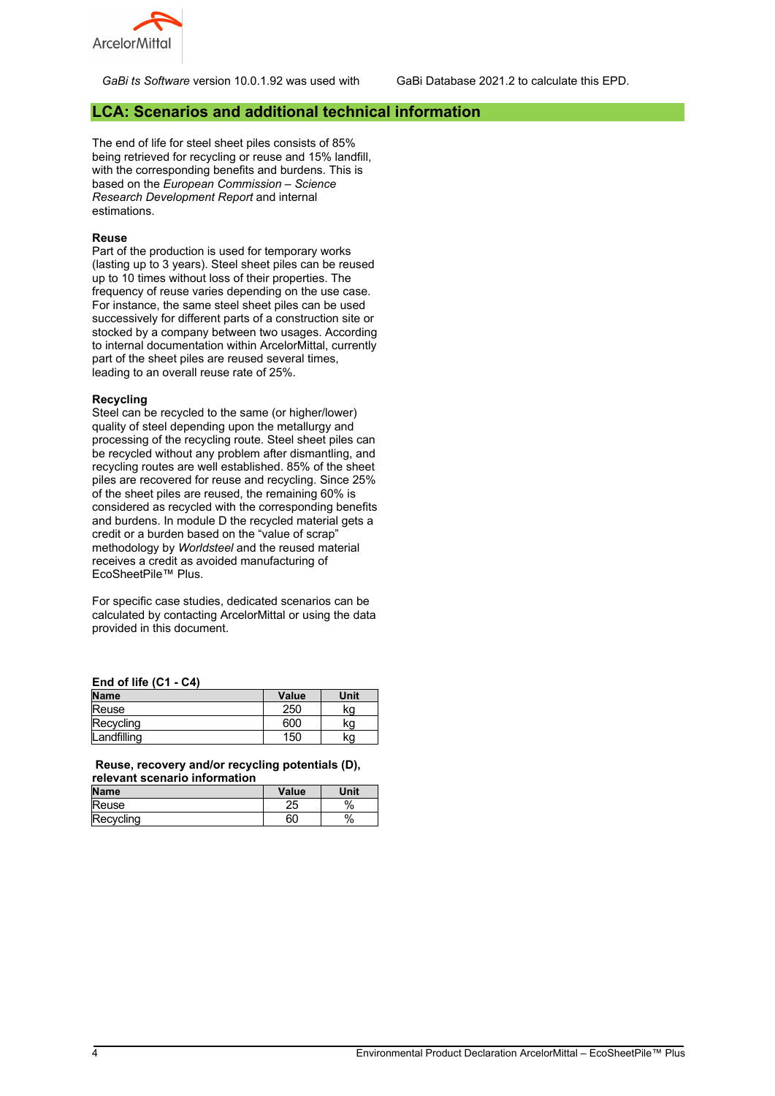

*GaBi ts Software* version 10.0.1.92 was used with GaBi Database 2021.2 to calculate this EPD.

#### **LCA: Scenarios and additional technical information**

The end of life for steel sheet piles consists of 85% being retrieved for recycling or reuse and 15% landfill, with the corresponding benefits and burdens. This is based on the *European Commission – Science Research Development Report* and internal estimations.

#### **Reuse**

Part of the production is used for temporary works (lasting up to 3 years). Steel sheet piles can be reused up to 10 times without loss of their properties. The frequency of reuse varies depending on the use case. For instance, the same steel sheet piles can be used successively for different parts of a construction site or stocked by a company between two usages. According to internal documentation within ArcelorMittal, currently part of the sheet piles are reused several times, leading to an overall reuse rate of 25%.

#### **Recycling**

Steel can be recycled to the same (or higher/lower) quality of steel depending upon the metallurgy and processing of the recycling route. Steel sheet piles can be recycled without any problem after dismantling, and recycling routes are well established. 85% of the sheet piles are recovered for reuse and recycling. Since 25% of the sheet piles are reused, the remaining 60% is considered as recycled with the corresponding benefits and burdens. In module D the recycled material gets a credit or a burden based on the "value of scrap" methodology by *Worldsteel* and the reused material receives a credit as avoided manufacturing of EcoSheetPile™ Plus.

For specific case studies, dedicated scenarios can be calculated by contacting ArcelorMittal or using the data provided in this document.

| End of life (C1 - C4) |  |  |  |
|-----------------------|--|--|--|
|                       |  |  |  |

| <b>Name</b> | Value | Unit |
|-------------|-------|------|
| Reuse       | 250   | κa   |
| Recycling   | 600   | κg   |
| Landfilling | 150   | κg   |

**Reuse, recovery and/or recycling potentials (D), relevant scenario information**

| <b>Name</b> | Value | Unit |
|-------------|-------|------|
| Reuse       | سے    | %    |
| Recycling   | 60    | %    |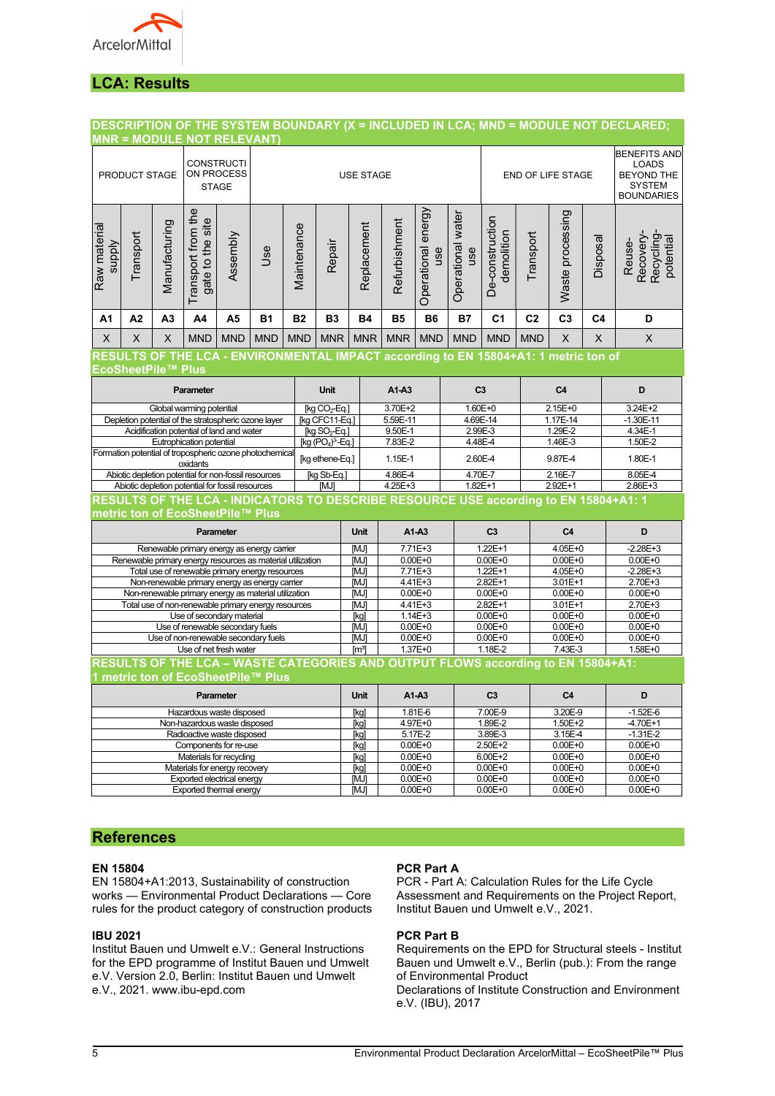

## **LCA: Results**

## **DESCRIPTION OF THE SYSTEM BOUNDARY (X = INCLUDED IN LCA; MND = MODULE NOT DECLARED;**

|                                                                                             |                                                                     |                                  | <b>MNR = MODULE NOT RELEVANT)</b>         |             |                                                                                                        |                                                                                                 |                           |                     |                                                                                                |                            |                          |                               |                |                            |                |                                                      |
|---------------------------------------------------------------------------------------------|---------------------------------------------------------------------|----------------------------------|-------------------------------------------|-------------|--------------------------------------------------------------------------------------------------------|-------------------------------------------------------------------------------------------------|---------------------------|---------------------|------------------------------------------------------------------------------------------------|----------------------------|--------------------------|-------------------------------|----------------|----------------------------|----------------|------------------------------------------------------|
| <b>CONSTRUCTI</b><br><b>ON PROCESS</b><br>PRODUCT STAGE<br><b>USE STAGE</b><br><b>STAGE</b> |                                                                     |                                  |                                           |             |                                                                                                        | END OF LIFE STAGE                                                                               |                           |                     | <b>BENEFITS AND</b><br><b>LOADS</b><br><b>BEYOND THE</b><br><b>SYSTEM</b><br><b>BOUNDARIES</b> |                            |                          |                               |                |                            |                |                                                      |
| Raw materia<br><b>Supply</b>                                                                | Transport                                                           | Manufacturing                    | Transport from the<br>gate to the site    | Assembly    | Jse                                                                                                    | Maintenance                                                                                     | Repair                    | Replacement         | Refurbishment                                                                                  | Operational energy<br>use  | Operational water<br>use | De-construction<br>demolition | Transport      | Waste processing           | Disposal       | Recovery-<br><b>Recycling</b><br>potential<br>Reuse- |
| A1                                                                                          | A2                                                                  | A <sub>3</sub>                   | A4                                        | A5          | <b>B1</b>                                                                                              | <b>B2</b>                                                                                       | <b>B3</b>                 | <b>B4</b>           | <b>B5</b>                                                                                      | <b>B6</b>                  | <b>B7</b>                | C <sub>1</sub>                | C <sub>2</sub> | C <sub>3</sub>             | C <sub>4</sub> | D                                                    |
| X                                                                                           | X                                                                   | X                                | <b>MND</b>                                | <b>MND</b>  | <b>MND</b>                                                                                             | <b>MND</b>                                                                                      | <b>MNR</b>                | <b>MNR</b>          | <b>MNR</b>                                                                                     | <b>MND</b>                 | <b>MND</b>               | <b>MND</b>                    | <b>MND</b>     | $\times$                   | X              | X                                                    |
|                                                                                             |                                                                     |                                  |                                           |             | RESULTS OF THE LCA - ENVIRONMENTAL IMPACT according to EN 15804+A1: 1 metric ton of                    |                                                                                                 |                           |                     |                                                                                                |                            |                          |                               |                |                            |                |                                                      |
|                                                                                             |                                                                     | EcoSheetPile™ Plus               |                                           |             |                                                                                                        |                                                                                                 |                           |                     |                                                                                                |                            |                          |                               |                |                            |                |                                                      |
|                                                                                             |                                                                     |                                  | Parameter                                 |             |                                                                                                        |                                                                                                 | <b>Unit</b>               |                     | $A1-A3$                                                                                        |                            | C <sub>3</sub>           |                               |                | C <sub>4</sub>             |                | D                                                    |
|                                                                                             |                                                                     |                                  | Global warming potential                  |             |                                                                                                        |                                                                                                 | [kg CO <sub>2</sub> -Eq.] |                     | 3.70E+2                                                                                        |                            | $1.60E + 0$              |                               |                | $2.15E + 0$                |                | $3.24E + 2$                                          |
|                                                                                             |                                                                     |                                  |                                           |             | Depletion potential of the stratospheric ozone layer                                                   |                                                                                                 | [kg CFC11-Eq.]            |                     | 5.59E-11                                                                                       |                            | 4.69E-14                 |                               |                | 1.17E-14                   |                | $-1.30E - 11$                                        |
|                                                                                             |                                                                     |                                  | Acidification potential of land and water |             |                                                                                                        |                                                                                                 | $\overline{[kg SO_2-Eq]}$ |                     | 9.50E-1                                                                                        |                            | 2.99E-3                  |                               |                | 1.29E-2                    |                | 4.34E-1                                              |
|                                                                                             |                                                                     |                                  | Eutrophication potential                  |             |                                                                                                        |                                                                                                 | $[kg (PO4)3-Eq.]$         |                     | 7.83E-2                                                                                        |                            | 4.48E-4                  |                               |                | 1.46E-3                    |                | 1.50E-2                                              |
|                                                                                             | Formation potential of tropospheric ozone photochemical<br>oxidants |                                  |                                           |             | [kg ethene-Eq.]                                                                                        |                                                                                                 | 1.15E-1                   |                     | 2.60E-4                                                                                        |                            | 9.87E-4                  |                               |                | 1.80E-1                    |                |                                                      |
| Abiotic depletion potential for non-fossil resources                                        |                                                                     |                                  |                                           | [kg Sb-Eq.] |                                                                                                        | 4.86E-4                                                                                         |                           | 4.70E-7             |                                                                                                | 2.16E-7                    |                          |                               | 8.05E-4        |                            |                |                                                      |
|                                                                                             | Abiotic depletion potential for fossil resources                    |                                  |                                           |             | [MJ]                                                                                                   | 4.25E+3<br>RESULTS OF THE LCA - INDICATORS TO DESCRIBE RESOURCE USE according to EN 15804+A1: 1 |                           |                     | $1.82E+1$                                                                                      |                            | 2.92E+1                  |                               | 2.86E+3        |                            |                |                                                      |
|                                                                                             |                                                                     |                                  |                                           |             |                                                                                                        |                                                                                                 |                           |                     |                                                                                                |                            |                          |                               |                |                            |                |                                                      |
|                                                                                             |                                                                     |                                  | metric ton of EcoSheetPile™ Plus          |             |                                                                                                        |                                                                                                 |                           |                     |                                                                                                |                            |                          |                               |                |                            |                |                                                      |
|                                                                                             |                                                                     |                                  |                                           | Parameter   |                                                                                                        |                                                                                                 |                           | <b>Unit</b>         |                                                                                                | $A1-A3$                    |                          | C <sub>3</sub>                |                | C <sub>4</sub>             |                | D                                                    |
|                                                                                             |                                                                     |                                  |                                           |             | Renewable primary energy as energy carrier                                                             |                                                                                                 |                           | $7.71E + 3$<br>[MJ] |                                                                                                |                            | $1.22E+1$                |                               | $4.05E+0$      |                            | $-2.28E + 3$   |                                                      |
|                                                                                             |                                                                     |                                  |                                           |             | Renewable primary energy resources as material utilization                                             |                                                                                                 |                           | [MJ]                |                                                                                                | $0.00E + 0$                |                          | $0.00E + 0$                   |                | $0.00E + 0$                |                | $0.00E + 0$                                          |
|                                                                                             |                                                                     |                                  |                                           |             | Total use of renewable primary energy resources                                                        |                                                                                                 |                           | [MJ]<br>[MJ]        |                                                                                                | 7.71E+3<br>4.41E+3         |                          | $1.22E + 1$<br>2.82E+1        |                | 4.05E+0<br>3.01E+1         |                | $-2.28E + 3$<br>2.70E+3                              |
|                                                                                             |                                                                     |                                  |                                           |             | Non-renewable primary energy as energy carrier<br>Non-renewable primary energy as material utilization |                                                                                                 |                           | [MJ]                |                                                                                                | $0.00E + 0$                |                          | $0.00E + 0$                   |                | $0.00E + 0$                |                | $0.00E + 0$                                          |
|                                                                                             |                                                                     |                                  |                                           |             | Total use of non-renewable primary energy resources                                                    |                                                                                                 |                           | [MJ]                |                                                                                                | 4.41E+3                    |                          | 2.82E+1                       |                | 3.01E+1                    |                | 2.70E+3                                              |
|                                                                                             |                                                                     |                                  | Use of secondary material                 |             |                                                                                                        |                                                                                                 |                           | [kg]                |                                                                                                | $1.14E + 3$                |                          | $0.00E + 0$                   |                | $0.00E + 0$                |                | $0.00E + 0$                                          |
|                                                                                             |                                                                     | Use of renewable secondary fuels |                                           |             |                                                                                                        | [MJ]                                                                                            |                           | $0.00E + 0$         |                                                                                                | $0.00E + 0$                |                          | $0.00E + 0$                   |                | $0.00E + 0$                |                |                                                      |
|                                                                                             |                                                                     |                                  |                                           |             | Use of non-renewable secondary fuels                                                                   |                                                                                                 |                           | [MJ]                |                                                                                                | $0.00E + 0$                | $0.00E + 0$              |                               | $0.00E + 0$    |                            |                | $0.00E + 0$                                          |
|                                                                                             |                                                                     |                                  | Use of net fresh water                    |             |                                                                                                        |                                                                                                 |                           | [m <sup>3</sup> ]   |                                                                                                | $1.37E + 0$                |                          | 1.18E-2                       |                | 7.43E-3                    |                | 1.58E+0                                              |
|                                                                                             |                                                                     |                                  |                                           |             | RESULTS OF THE LCA - WASTE CATEGORIES AND OUTPUT FLOWS according to EN 15804+A1:                       |                                                                                                 |                           |                     |                                                                                                |                            |                          |                               |                |                            |                |                                                      |
|                                                                                             |                                                                     |                                  |                                           |             | 1 metric ton of EcoSheetPile™ Plus                                                                     |                                                                                                 |                           |                     |                                                                                                |                            |                          |                               |                |                            |                |                                                      |
|                                                                                             |                                                                     |                                  |                                           | Parameter   |                                                                                                        |                                                                                                 |                           | <b>Unit</b>         |                                                                                                | A1-A3                      |                          | C <sub>3</sub>                |                | C <sub>4</sub>             |                | D                                                    |
| Hazardous waste disposed                                                                    |                                                                     |                                  |                                           |             |                                                                                                        | [kg]                                                                                            |                           | 1.81E-6             |                                                                                                | 7.00E-9                    |                          | 3.20E-9                       |                | $-1.52E - 6$               |                |                                                      |
| Non-hazardous waste disposed                                                                |                                                                     |                                  |                                           |             |                                                                                                        | [kg]                                                                                            |                           | $4.97E+0$           |                                                                                                | 1.89E-2                    |                          | 1.50E+2                       |                | $-4.70E+1$                 |                |                                                      |
| Radioactive waste disposed                                                                  |                                                                     |                                  |                                           |             |                                                                                                        | [kg]                                                                                            |                           | 5.17E-2             |                                                                                                | 3.89E-3                    |                          | 3.15E-4                       |                | $-1.31E-2$                 |                |                                                      |
| Components for re-use<br>Materials for recycling                                            |                                                                     |                                  |                                           |             |                                                                                                        | [kg]                                                                                            |                           | $0.00E + 0$         |                                                                                                | 2.50E+2                    |                          | $0.00E + 0$                   |                | $0.00E + 0$                |                |                                                      |
|                                                                                             |                                                                     |                                  | Materials for energy recovery             |             |                                                                                                        |                                                                                                 |                           | [kg]<br>[kg]        |                                                                                                | $0.00E + 0$<br>$0.00E + 0$ |                          | 6.00E+2<br>$0.00E + 0$        |                | $0.00E + 0$<br>$0.00E + 0$ |                | $0.00E + 0$<br>$0.00E + 0$                           |
|                                                                                             |                                                                     |                                  | Exported electrical energy                |             |                                                                                                        |                                                                                                 |                           | [MJ]                |                                                                                                | $0.00E + 0$                |                          | $0.00E + 0$                   |                | $0.00E + 0$                |                | $0.00E + 0$                                          |
|                                                                                             |                                                                     |                                  |                                           |             |                                                                                                        |                                                                                                 |                           | [MJ]                |                                                                                                |                            |                          | $0.00E + 0$                   |                | $0.00E + 0$                |                | $0.00E + 0$                                          |
|                                                                                             | <b>Exported thermal energy</b><br>$0.00E + 0$                       |                                  |                                           |             |                                                                                                        |                                                                                                 |                           |                     |                                                                                                |                            |                          |                               |                |                            |                |                                                      |

#### **References**

#### **EN 15804**

EN 15804+A1:2013, Sustainability of construction works — Environmental Product Declarations — Core rules for the product category of construction products

#### **IBU 2021**

Institut Bauen und Umwelt e.V.: General Instructions for the EPD programme of Institut Bauen und Umwelt e.V. Version 2.0, Berlin: Institut Bauen und Umwelt e.V., 2021. www.ibu-epd.com

#### **PCR Part A**

PCR - Part A: Calculation Rules for the Life Cycle Assessment and Requirements on the Project Report, Institut Bauen und Umwelt e.V., 2021.

#### **PCR Part B**

Requirements on the EPD for Structural steels - Institut Bauen und Umwelt e.V., Berlin (pub.): From the range of Environmental Product

Declarations of Institute Construction and Environment e.V. (IBU), 2017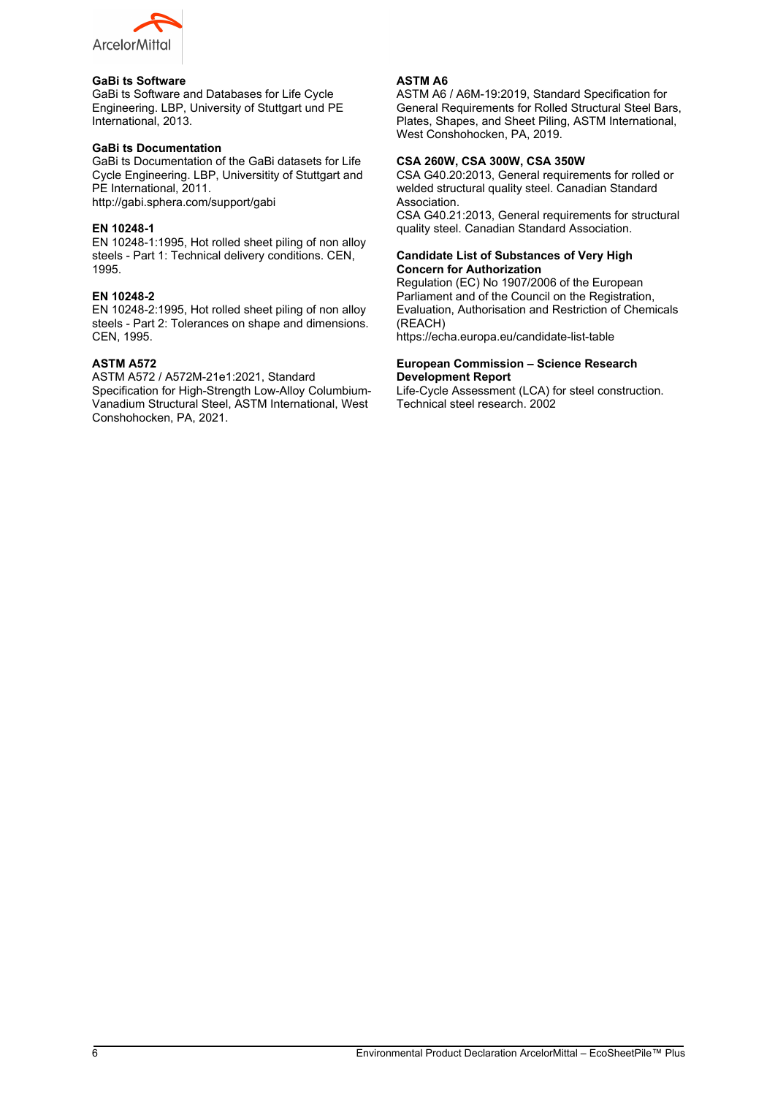

#### **GaBi ts Software**

GaBi ts Software and Databases for Life Cycle Engineering. LBP, University of Stuttgart und PE International, 2013.

#### **GaBi ts Documentation**

GaBi ts Documentation of the GaBi datasets for Life Cycle Engineering. LBP, Universitity of Stuttgart and PE International, 2011.

http://gabi.sphera.com/support/gabi

#### **EN 10248-1**

EN 10248-1:1995, Hot rolled sheet piling of non alloy steels - Part 1: Technical delivery conditions. CEN, 1995.

#### **EN 10248-2**

EN 10248-2:1995, Hot rolled sheet piling of non alloy steels - Part 2: Tolerances on shape and dimensions. CEN, 1995.

#### **ASTM A572**

ASTM A572 / A572M-21e1:2021, Standard Specification for High-Strength Low-Alloy Columbium-Vanadium Structural Steel, ASTM International, West Conshohocken, PA, 2021.

#### **ASTM A6**

ASTM A6 / A6M-19:2019, Standard Specification for General Requirements for Rolled Structural Steel Bars, Plates, Shapes, and Sheet Piling, ASTM International, West Conshohocken, PA, 2019.

#### **CSA 260W, CSA 300W, CSA 350W**

CSA G40.20:2013, General requirements for rolled or welded structural quality steel. Canadian Standard Association.

CSA G40.21:2013, General requirements for structural quality steel. Canadian Standard Association.

#### **Candidate List of Substances of Very High Concern for Authorization**

Regulation (EC) No 1907/2006 of the European Parliament and of the Council on the Registration. Evaluation, Authorisation and Restriction of Chemicals (REACH)

https://echa.europa.eu/candidate-list-table

#### **European Commission – Science Research Development Report**

Life-Cycle Assessment (LCA) for steel construction. Technical steel research. 2002